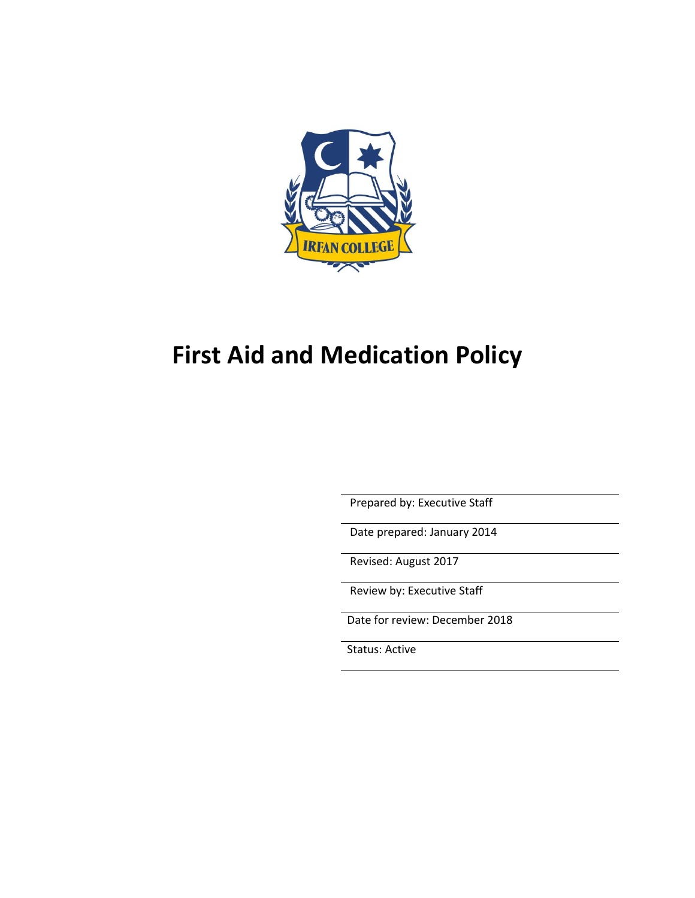

# **First Aid and Medication Policy**

Prepared by: Executive Staff

Date prepared: January 2014

Revised: August 2017

Review by: Executive Staff

Date for review: December 2018

Status: Active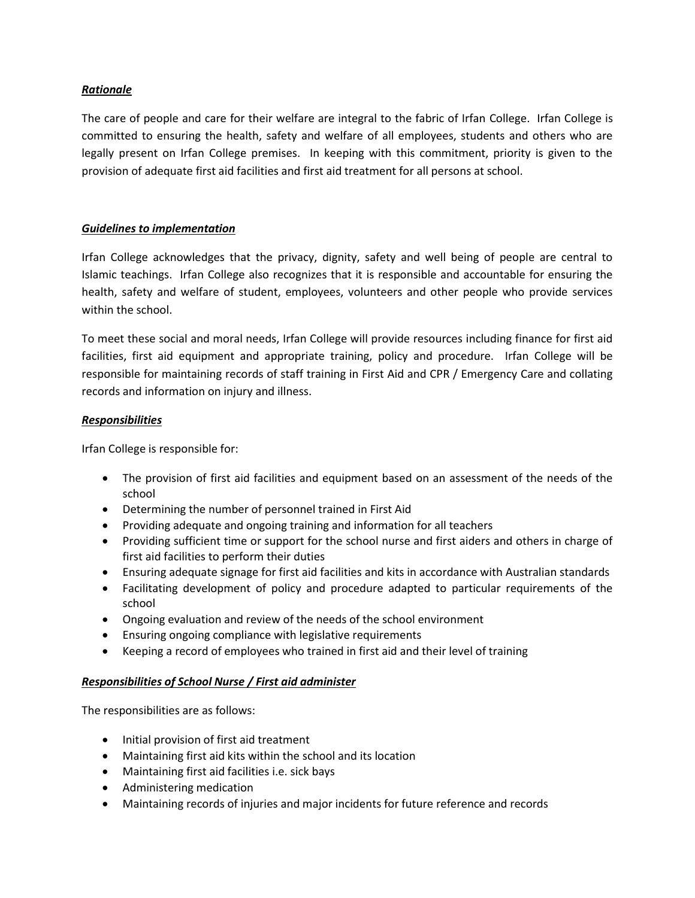## *Rationale*

The care of people and care for their welfare are integral to the fabric of Irfan College. Irfan College is committed to ensuring the health, safety and welfare of all employees, students and others who are legally present on Irfan College premises. In keeping with this commitment, priority is given to the provision of adequate first aid facilities and first aid treatment for all persons at school.

## *Guidelines to implementation*

Irfan College acknowledges that the privacy, dignity, safety and well being of people are central to Islamic teachings. Irfan College also recognizes that it is responsible and accountable for ensuring the health, safety and welfare of student, employees, volunteers and other people who provide services within the school.

To meet these social and moral needs, Irfan College will provide resources including finance for first aid facilities, first aid equipment and appropriate training, policy and procedure. Irfan College will be responsible for maintaining records of staff training in First Aid and CPR / Emergency Care and collating records and information on injury and illness.

#### *Responsibilities*

Irfan College is responsible for:

- The provision of first aid facilities and equipment based on an assessment of the needs of the school
- Determining the number of personnel trained in First Aid
- Providing adequate and ongoing training and information for all teachers
- Providing sufficient time or support for the school nurse and first aiders and others in charge of first aid facilities to perform their duties
- Ensuring adequate signage for first aid facilities and kits in accordance with Australian standards
- Facilitating development of policy and procedure adapted to particular requirements of the school
- Ongoing evaluation and review of the needs of the school environment
- Ensuring ongoing compliance with legislative requirements
- Keeping a record of employees who trained in first aid and their level of training

# *Responsibilities of School Nurse / First aid administer*

The responsibilities are as follows:

- Initial provision of first aid treatment
- Maintaining first aid kits within the school and its location
- Maintaining first aid facilities i.e. sick bays
- Administering medication
- Maintaining records of injuries and major incidents for future reference and records